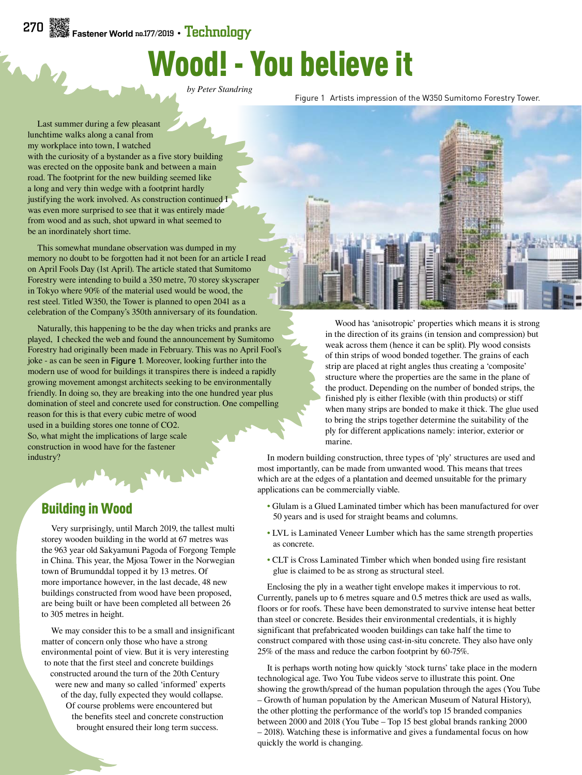## Wood! - You believe it

*by Peter Standring*

Figure 1 Artists impression of the W350 Sumitomo Forestry Tower.

Last summer during a few pleasant lunchtime walks along a canal from my workplace into town, I watched with the curiosity of a bystander as a five story building was erected on the opposite bank and between a main road. The footprint for the new building seemed like a long and very thin wedge with a footprint hardly justifying the work involved. As construction continued I was even more surprised to see that it was entirely made from wood and as such, shot upward in what seemed to be an inordinately short time.

This somewhat mundane observation was dumped in my memory no doubt to be forgotten had it not been for an article I read on April Fools Day (1st April). The article stated that Sumitomo Forestry were intending to build a 350 metre, 70 storey skyscraper in Tokyo where 90% of the material used would be wood, the rest steel. Titled W350, the Tower is planned to open 2041 as a celebration of the Company's 350th anniversary of its foundation.

Naturally, this happening to be the day when tricks and pranks are played, I checked the web and found the announcement by Sumitomo Forestry had originally been made in February. This was no April Fool's joke - as can be seen in Figure 1. Moreover, looking further into the modern use of wood for buildings it transpires there is indeed a rapidly growing movement amongst architects seeking to be environmentally friendly. In doing so, they are breaking into the one hundred year plus domination of steel and concrete used for construction. One compelling

reason for this is that every cubic metre of wood used in a building stores one tonne of CO2. So, what might the implications of large scale construction in wood have for the fastener industry?

## Building in Wood

Very surprisingly, until March 2019, the tallest multi storey wooden building in the world at 67 metres was the 963 year old Sakyamuni Pagoda of Forgong Temple in China. This year, the Mjosa Tower in the Norwegian town of Brumunddal topped it by 13 metres. Of more importance however, in the last decade, 48 new buildings constructed from wood have been proposed, are being built or have been completed all between 26 to 305 metres in height.

We may consider this to be a small and insignificant matter of concern only those who have a strong environmental point of view. But it is very interesting to note that the first steel and concrete buildings constructed around the turn of the 20th Century were new and many so called 'informed' experts of the day, fully expected they would collapse. Of course problems were encountered but the benefits steel and concrete construction brought ensured their long term success.



Wood has 'anisotropic' properties which means it is strong in the direction of its grains (in tension and compression) but weak across them (hence it can be split). Ply wood consists of thin strips of wood bonded together. The grains of each strip are placed at right angles thus creating a 'composite' structure where the properties are the same in the plane of the product. Depending on the number of bonded strips, the finished ply is either flexible (with thin products) or stiff when many strips are bonded to make it thick. The glue used to bring the strips together determine the suitability of the ply for different applications namely: interior, exterior or marine.

In modern building construction, three types of 'ply' structures are used and most importantly, can be made from unwanted wood. This means that trees which are at the edges of a plantation and deemed unsuitable for the primary applications can be commercially viable.

- Glulam is a Glued Laminated timber which has been manufactured for over 50 years and is used for straight beams and columns.
- LVL is Laminated Veneer Lumber which has the same strength properties as concrete.
- CLT is Cross Laminated Timber which when bonded using fire resistant glue is claimed to be as strong as structural steel.

Enclosing the ply in a weather tight envelope makes it impervious to rot. Currently, panels up to 6 metres square and 0.5 metres thick are used as walls, floors or for roofs. These have been demonstrated to survive intense heat better than steel or concrete. Besides their environmental credentials, it is highly significant that prefabricated wooden buildings can take half the time to construct compared with those using cast-in-situ concrete. They also have only 25% of the mass and reduce the carbon footprint by 60-75%.

It is perhaps worth noting how quickly 'stock turns' take place in the modern technological age. Two You Tube videos serve to illustrate this point. One showing the growth/spread of the human population through the ages (You Tube – Growth of human population by the American Museum of Natural History), the other plotting the performance of the world's top 15 branded companies between 2000 and 2018 (You Tube – Top 15 best global brands ranking 2000 – 2018). Watching these is informative and gives a fundamental focus on how quickly the world is changing.